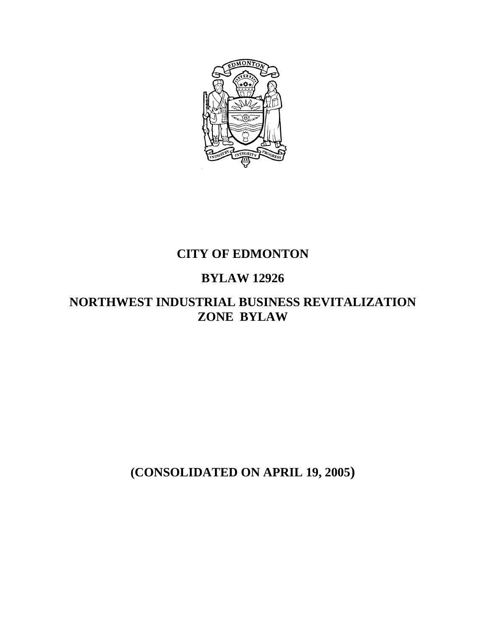

## **CITY OF EDMONTON**

# **BYLAW 12926**

## **NORTHWEST INDUSTRIAL BUSINESS REVITALIZATION ZONE BYLAW**

**(CONSOLIDATED ON APRIL 19, 2005)**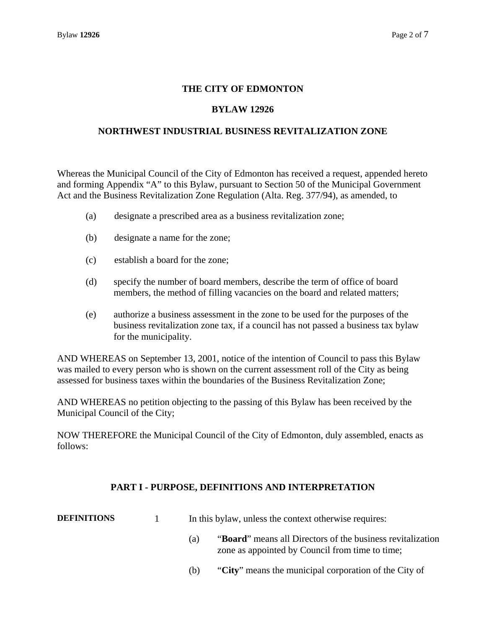### **THE CITY OF EDMONTON**

### **BYLAW 12926**

### **NORTHWEST INDUSTRIAL BUSINESS REVITALIZATION ZONE**

Whereas the Municipal Council of the City of Edmonton has received a request, appended hereto and forming Appendix "A" to this Bylaw, pursuant to Section 50 of the Municipal Government Act and the Business Revitalization Zone Regulation (Alta. Reg. 377/94), as amended, to

- (a) designate a prescribed area as a business revitalization zone;
- (b) designate a name for the zone;
- (c) establish a board for the zone;
- (d) specify the number of board members, describe the term of office of board members, the method of filling vacancies on the board and related matters;
- (e) authorize a business assessment in the zone to be used for the purposes of the business revitalization zone tax, if a council has not passed a business tax bylaw for the municipality.

AND WHEREAS on September 13, 2001, notice of the intention of Council to pass this Bylaw was mailed to every person who is shown on the current assessment roll of the City as being assessed for business taxes within the boundaries of the Business Revitalization Zone;

AND WHEREAS no petition objecting to the passing of this Bylaw has been received by the Municipal Council of the City;

NOW THEREFORE the Municipal Council of the City of Edmonton, duly assembled, enacts as follows:

#### **PART I - PURPOSE, DEFINITIONS AND INTERPRETATION**

| <b>DEFINITIONS</b> | In this bylaw, unless the context otherwise requires: |
|--------------------|-------------------------------------------------------|
|--------------------|-------------------------------------------------------|

- (a) "**Board**" means all Directors of the business revitalization zone as appointed by Council from time to time;
- (b) "**City**" means the municipal corporation of the City of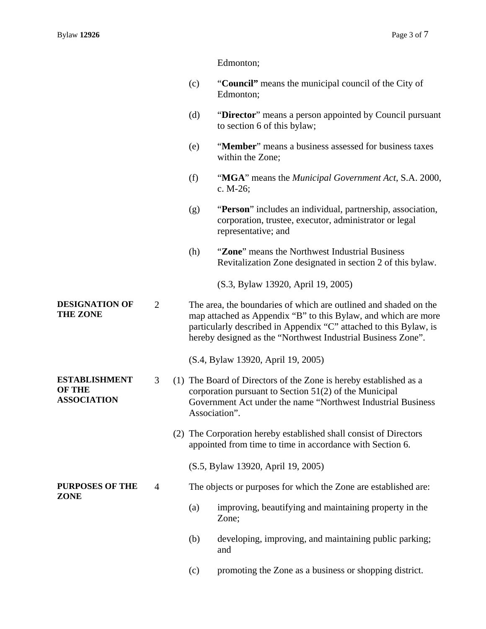Edmonton;

- (c) "**Council"** means the municipal council of the City of Edmonton;
- (d) "**Director**" means a person appointed by Council pursuant to section 6 of this bylaw;
- (e) "**Member**" means a business assessed for business taxes within the Zone;
- (f) "**MGA**" means the *Municipal Government Act*, S.A. 2000, c. M-26;
- (g) "**Person**" includes an individual, partnership, association, corporation, trustee, executor, administrator or legal representative; and
- (h) "**Zone**" means the Northwest Industrial Business Revitalization Zone designated in section 2 of this bylaw.

(S.3, Bylaw 13920, April 19, 2005)

**DESIGNATION OF THE ZONE**  2 The area, the boundaries of which are outlined and shaded on the map attached as Appendix "B" to this Bylaw, and which are more particularly described in Appendix "C" attached to this Bylaw, is hereby designed as the "Northwest Industrial Business Zone".

(S.4, Bylaw 13920, April 19, 2005)

- 3 (1) The Board of Directors of the Zone is hereby established as a corporation pursuant to Section 51(2) of the Municipal Government Act under the name "Northwest Industrial Business Association".
	- (2) The Corporation hereby established shall consist of Directors appointed from time to time in accordance with Section 6.
		- (S.5, Bylaw 13920, April 19, 2005)
- 4 The objects or purposes for which the Zone are established are:
	- (a) improving, beautifying and maintaining property in the Zone;
	- (b) developing, improving, and maintaining public parking; and
	- (c) promoting the Zone as a business or shopping district.

**ESTABLISHMENT** 

#### **OF THE ASSOCIATION**

**PURPOSES OF THE ZONE**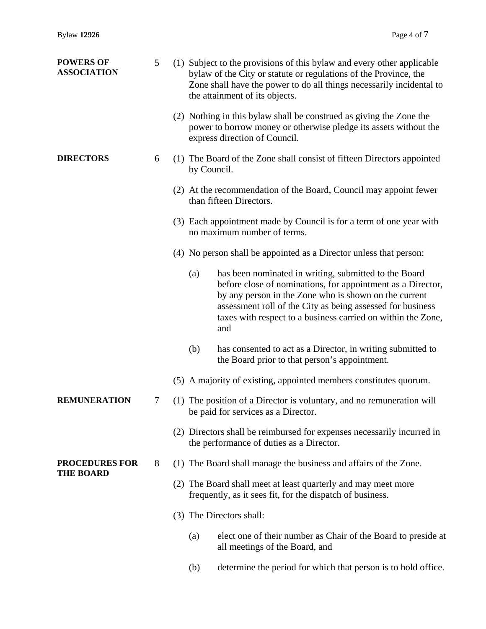| <b>POWERS OF</b><br><b>ASSOCIATION</b>    | 5 |                          |             | (1) Subject to the provisions of this bylaw and every other applicable<br>bylaw of the City or statute or regulations of the Province, the<br>Zone shall have the power to do all things necessarily incidental to<br>the attainment of its objects.                                                               |
|-------------------------------------------|---|--------------------------|-------------|--------------------------------------------------------------------------------------------------------------------------------------------------------------------------------------------------------------------------------------------------------------------------------------------------------------------|
|                                           |   |                          |             | (2) Nothing in this bylaw shall be construed as giving the Zone the<br>power to borrow money or otherwise pledge its assets without the<br>express direction of Council.                                                                                                                                           |
| <b>DIRECTORS</b>                          | 6 |                          | by Council. | (1) The Board of the Zone shall consist of fifteen Directors appointed                                                                                                                                                                                                                                             |
|                                           |   |                          |             | (2) At the recommendation of the Board, Council may appoint fewer<br>than fifteen Directors.                                                                                                                                                                                                                       |
|                                           |   |                          |             | (3) Each appointment made by Council is for a term of one year with<br>no maximum number of terms.                                                                                                                                                                                                                 |
|                                           |   |                          |             | (4) No person shall be appointed as a Director unless that person:                                                                                                                                                                                                                                                 |
|                                           |   |                          | (a)         | has been nominated in writing, submitted to the Board<br>before close of nominations, for appointment as a Director,<br>by any person in the Zone who is shown on the current<br>assessment roll of the City as being assessed for business<br>taxes with respect to a business carried on within the Zone,<br>and |
|                                           |   |                          | (b)         | has consented to act as a Director, in writing submitted to<br>the Board prior to that person's appointment.                                                                                                                                                                                                       |
|                                           |   |                          |             | (5) A majority of existing, appointed members constitutes quorum.                                                                                                                                                                                                                                                  |
| <b>REMUNERATION</b>                       | 7 |                          |             | (1) The position of a Director is voluntary, and no remuneration will<br>be paid for services as a Director.                                                                                                                                                                                                       |
|                                           |   |                          |             | (2) Directors shall be reimbursed for expenses necessarily incurred in<br>the performance of duties as a Director.                                                                                                                                                                                                 |
| <b>PROCEDURES FOR</b><br><b>THE BOARD</b> | 8 |                          |             | (1) The Board shall manage the business and affairs of the Zone.                                                                                                                                                                                                                                                   |
|                                           |   |                          |             | (2) The Board shall meet at least quarterly and may meet more<br>frequently, as it sees fit, for the dispatch of business.                                                                                                                                                                                         |
|                                           |   | (3) The Directors shall: |             |                                                                                                                                                                                                                                                                                                                    |
|                                           |   |                          | (a)         | elect one of their number as Chair of the Board to preside at<br>all meetings of the Board, and                                                                                                                                                                                                                    |
|                                           |   |                          | (b)         | determine the period for which that person is to hold office.                                                                                                                                                                                                                                                      |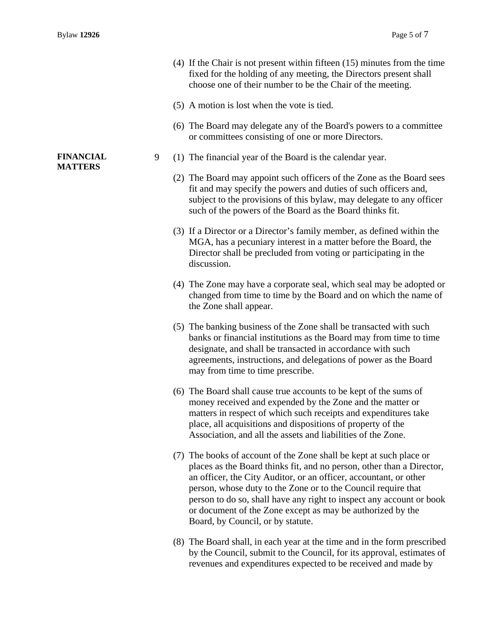- (4) If the Chair is not present within fifteen (15) minutes from the time fixed for the holding of any meeting, the Directors present shall choose one of their number to be the Chair of the meeting.
- (5) A motion is lost when the vote is tied.
- (6) The Board may delegate any of the Board's powers to a committee or committees consisting of one or more Directors.
- 9 (1) The financial year of the Board is the calendar year.
	- (2) The Board may appoint such officers of the Zone as the Board sees fit and may specify the powers and duties of such officers and, subject to the provisions of this bylaw, may delegate to any officer such of the powers of the Board as the Board thinks fit.
	- (3) If a Director or a Director's family member, as defined within the MGA, has a pecuniary interest in a matter before the Board, the Director shall be precluded from voting or participating in the discussion.
	- (4) The Zone may have a corporate seal, which seal may be adopted or changed from time to time by the Board and on which the name of the Zone shall appear.
	- (5) The banking business of the Zone shall be transacted with such banks or financial institutions as the Board may from time to time designate, and shall be transacted in accordance with such agreements, instructions, and delegations of power as the Board may from time to time prescribe.
	- (6) The Board shall cause true accounts to be kept of the sums of money received and expended by the Zone and the matter or matters in respect of which such receipts and expenditures take place, all acquisitions and dispositions of property of the Association, and all the assets and liabilities of the Zone.
	- (7) The books of account of the Zone shall be kept at such place or places as the Board thinks fit, and no person, other than a Director, an officer, the City Auditor, or an officer, accountant, or other person, whose duty to the Zone or to the Council require that person to do so, shall have any right to inspect any account or book or document of the Zone except as may be authorized by the Board, by Council, or by statute.
	- (8) The Board shall, in each year at the time and in the form prescribed by the Council, submit to the Council, for its approval, estimates of revenues and expenditures expected to be received and made by

#### **FINANCIAL MATTERS**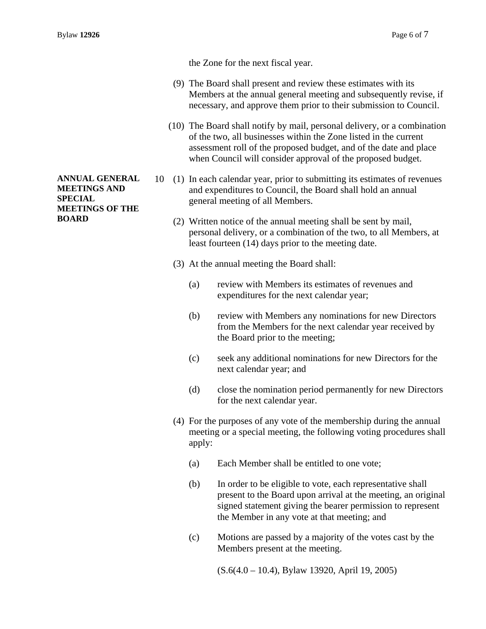**ANNUAL GENERAL MEETINGS AND SPECIAL** 

**MEETINGS OF THE** 

**BOARD** 

the Zone for the next fiscal year.

- (9) The Board shall present and review these estimates with its Members at the annual general meeting and subsequently revise, if necessary, and approve them prior to their submission to Council.
- (10) The Board shall notify by mail, personal delivery, or a combination of the two, all businesses within the Zone listed in the current assessment roll of the proposed budget, and of the date and place when Council will consider approval of the proposed budget.
- 10 (1) In each calendar year, prior to submitting its estimates of revenues and expenditures to Council, the Board shall hold an annual general meeting of all Members.
	- (2) Written notice of the annual meeting shall be sent by mail, personal delivery, or a combination of the two, to all Members, at least fourteen (14) days prior to the meeting date.
	- (3) At the annual meeting the Board shall:
		- (a) review with Members its estimates of revenues and expenditures for the next calendar year;
		- (b) review with Members any nominations for new Directors from the Members for the next calendar year received by the Board prior to the meeting;
		- (c) seek any additional nominations for new Directors for the next calendar year; and
		- (d) close the nomination period permanently for new Directors for the next calendar year.
	- (4) For the purposes of any vote of the membership during the annual meeting or a special meeting, the following voting procedures shall apply:
		- (a) Each Member shall be entitled to one vote;
		- (b) In order to be eligible to vote, each representative shall present to the Board upon arrival at the meeting, an original signed statement giving the bearer permission to represent the Member in any vote at that meeting; and
		- (c) Motions are passed by a majority of the votes cast by the Members present at the meeting.
			- (S.6(4.0 10.4), Bylaw 13920, April 19, 2005)